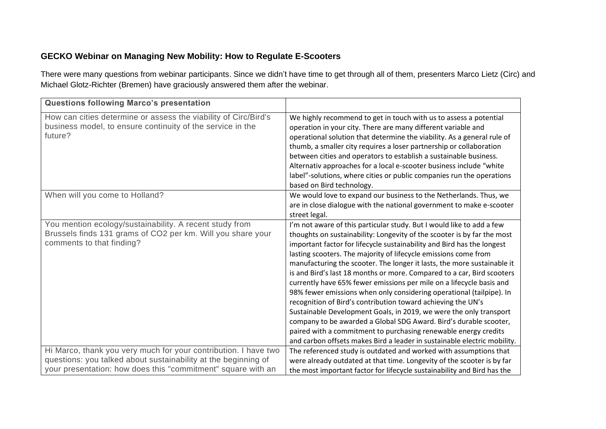## **GECKO Webinar on Managing New Mobility: How to Regulate E-Scooters**

There were many questions from webinar participants. Since we didn't have time to get through all of them, presenters Marco Lietz (Circ) and Michael Glotz-Richter (Bremen) have graciously answered them after the webinar.

| <b>Questions following Marco's presentation</b>                                                                                                                                                   |                                                                                                                                                                                                                                                                                                                                                                                                                                                                                                                                                                                                                                                                                                                                                                                                                                                                                                                                                              |
|---------------------------------------------------------------------------------------------------------------------------------------------------------------------------------------------------|--------------------------------------------------------------------------------------------------------------------------------------------------------------------------------------------------------------------------------------------------------------------------------------------------------------------------------------------------------------------------------------------------------------------------------------------------------------------------------------------------------------------------------------------------------------------------------------------------------------------------------------------------------------------------------------------------------------------------------------------------------------------------------------------------------------------------------------------------------------------------------------------------------------------------------------------------------------|
| How can cities determine or assess the viability of Circ/Bird's<br>business model, to ensure continuity of the service in the<br>future?                                                          | We highly recommend to get in touch with us to assess a potential<br>operation in your city. There are many different variable and<br>operational solution that determine the viability. As a general rule of<br>thumb, a smaller city requires a loser partnership or collaboration<br>between cities and operators to establish a sustainable business.<br>Alternativ approaches for a local e-scooter business include "white<br>label"-solutions, where cities or public companies run the operations<br>based on Bird technology.                                                                                                                                                                                                                                                                                                                                                                                                                       |
| When will you come to Holland?                                                                                                                                                                    | We would love to expand our business to the Netherlands. Thus, we<br>are in close dialogue with the national government to make e-scooter<br>street legal.                                                                                                                                                                                                                                                                                                                                                                                                                                                                                                                                                                                                                                                                                                                                                                                                   |
| You mention ecology/sustainability. A recent study from<br>Brussels finds 131 grams of CO2 per km. Will you share your<br>comments to that finding?                                               | I'm not aware of this particular study. But I would like to add a few<br>thoughts on sustainability: Longevity of the scooter is by far the most<br>important factor for lifecycle sustainability and Bird has the longest<br>lasting scooters. The majority of lifecycle emissions come from<br>manufacturing the scooter. The longer it lasts, the more sustainable it<br>is and Bird's last 18 months or more. Compared to a car, Bird scooters<br>currently have 65% fewer emissions per mile on a lifecycle basis and<br>98% fewer emissions when only considering operational (tailpipe). In<br>recognition of Bird's contribution toward achieving the UN's<br>Sustainable Development Goals, in 2019, we were the only transport<br>company to be awarded a Global SDG Award. Bird's durable scooter,<br>paired with a commitment to purchasing renewable energy credits<br>and carbon offsets makes Bird a leader in sustainable electric mobility. |
| Hi Marco, thank you very much for your contribution. I have two<br>questions: you talked about sustainability at the beginning of<br>your presentation: how does this "commitment" square with an | The referenced study is outdated and worked with assumptions that<br>were already outdated at that time. Longevity of the scooter is by far<br>the most important factor for lifecycle sustainability and Bird has the                                                                                                                                                                                                                                                                                                                                                                                                                                                                                                                                                                                                                                                                                                                                       |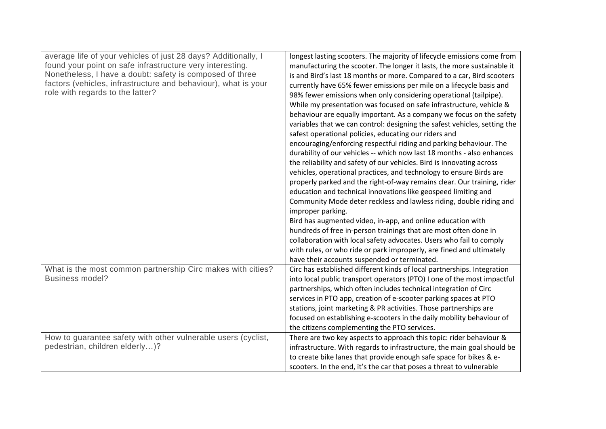| average life of your vehicles of just 28 days? Additionally, I<br>found your point on safe infrastructure very interesting.<br>Nonetheless, I have a doubt: safety is composed of three<br>factors (vehicles, infrastructure and behaviour), what is your<br>role with regards to the latter?<br>What is the most common partnership Circ makes with cities?<br><b>Business model?</b> | longest lasting scooters. The majority of lifecycle emissions come from<br>manufacturing the scooter. The longer it lasts, the more sustainable it<br>is and Bird's last 18 months or more. Compared to a car, Bird scooters<br>currently have 65% fewer emissions per mile on a lifecycle basis and<br>98% fewer emissions when only considering operational (tailpipe).<br>While my presentation was focused on safe infrastructure, vehicle &<br>behaviour are equally important. As a company we focus on the safety<br>variables that we can control: designing the safest vehicles, setting the<br>safest operational policies, educating our riders and<br>encouraging/enforcing respectful riding and parking behaviour. The<br>durability of our vehicles -- which now last 18 months - also enhances<br>the reliability and safety of our vehicles. Bird is innovating across<br>vehicles, operational practices, and technology to ensure Birds are<br>properly parked and the right-of-way remains clear. Our training, rider<br>education and technical innovations like geospeed limiting and<br>Community Mode deter reckless and lawless riding, double riding and<br>improper parking.<br>Bird has augmented video, in-app, and online education with<br>hundreds of free in-person trainings that are most often done in<br>collaboration with local safety advocates. Users who fail to comply<br>with rules, or who ride or park improperly, are fined and ultimately<br>have their accounts suspended or terminated.<br>Circ has established different kinds of local partnerships. Integration<br>into local public transport operators (PTO) I one of the most impactful<br>partnerships, which often includes technical integration of Circ<br>services in PTO app, creation of e-scooter parking spaces at PTO |
|----------------------------------------------------------------------------------------------------------------------------------------------------------------------------------------------------------------------------------------------------------------------------------------------------------------------------------------------------------------------------------------|-----------------------------------------------------------------------------------------------------------------------------------------------------------------------------------------------------------------------------------------------------------------------------------------------------------------------------------------------------------------------------------------------------------------------------------------------------------------------------------------------------------------------------------------------------------------------------------------------------------------------------------------------------------------------------------------------------------------------------------------------------------------------------------------------------------------------------------------------------------------------------------------------------------------------------------------------------------------------------------------------------------------------------------------------------------------------------------------------------------------------------------------------------------------------------------------------------------------------------------------------------------------------------------------------------------------------------------------------------------------------------------------------------------------------------------------------------------------------------------------------------------------------------------------------------------------------------------------------------------------------------------------------------------------------------------------------------------------------------------------------------------------------------------------------------------------------------------------|
|                                                                                                                                                                                                                                                                                                                                                                                        | stations, joint marketing & PR activities. Those partnerships are                                                                                                                                                                                                                                                                                                                                                                                                                                                                                                                                                                                                                                                                                                                                                                                                                                                                                                                                                                                                                                                                                                                                                                                                                                                                                                                                                                                                                                                                                                                                                                                                                                                                                                                                                                       |
|                                                                                                                                                                                                                                                                                                                                                                                        | focused on establishing e-scooters in the daily mobility behaviour of<br>the citizens complementing the PTO services.                                                                                                                                                                                                                                                                                                                                                                                                                                                                                                                                                                                                                                                                                                                                                                                                                                                                                                                                                                                                                                                                                                                                                                                                                                                                                                                                                                                                                                                                                                                                                                                                                                                                                                                   |
| How to guarantee safety with other vulnerable users (cyclist,                                                                                                                                                                                                                                                                                                                          | There are two key aspects to approach this topic: rider behaviour &                                                                                                                                                                                                                                                                                                                                                                                                                                                                                                                                                                                                                                                                                                                                                                                                                                                                                                                                                                                                                                                                                                                                                                                                                                                                                                                                                                                                                                                                                                                                                                                                                                                                                                                                                                     |
| pedestrian, children elderly)?                                                                                                                                                                                                                                                                                                                                                         | infrastructure. With regards to infrastructure, the main goal should be                                                                                                                                                                                                                                                                                                                                                                                                                                                                                                                                                                                                                                                                                                                                                                                                                                                                                                                                                                                                                                                                                                                                                                                                                                                                                                                                                                                                                                                                                                                                                                                                                                                                                                                                                                 |
|                                                                                                                                                                                                                                                                                                                                                                                        | to create bike lanes that provide enough safe space for bikes & e-                                                                                                                                                                                                                                                                                                                                                                                                                                                                                                                                                                                                                                                                                                                                                                                                                                                                                                                                                                                                                                                                                                                                                                                                                                                                                                                                                                                                                                                                                                                                                                                                                                                                                                                                                                      |
|                                                                                                                                                                                                                                                                                                                                                                                        |                                                                                                                                                                                                                                                                                                                                                                                                                                                                                                                                                                                                                                                                                                                                                                                                                                                                                                                                                                                                                                                                                                                                                                                                                                                                                                                                                                                                                                                                                                                                                                                                                                                                                                                                                                                                                                         |
|                                                                                                                                                                                                                                                                                                                                                                                        | scooters. In the end, it's the car that poses a threat to vulnerable                                                                                                                                                                                                                                                                                                                                                                                                                                                                                                                                                                                                                                                                                                                                                                                                                                                                                                                                                                                                                                                                                                                                                                                                                                                                                                                                                                                                                                                                                                                                                                                                                                                                                                                                                                    |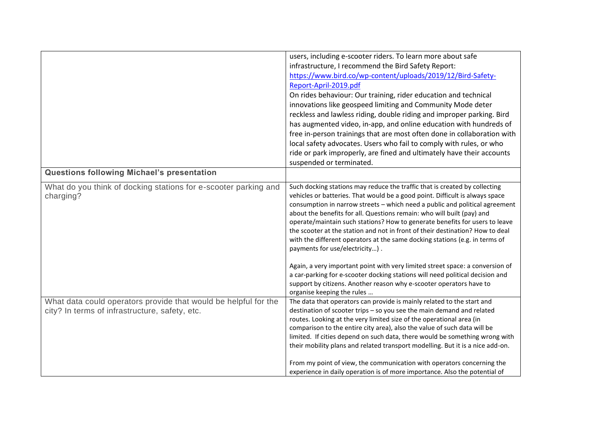|                                                                                                                   | users, including e-scooter riders. To learn more about safe<br>infrastructure, I recommend the Bird Safety Report:<br>https://www.bird.co/wp-content/uploads/2019/12/Bird-Safety-<br>Report-April-2019.pdf<br>On rides behaviour: Our training, rider education and technical<br>innovations like geospeed limiting and Community Mode deter<br>reckless and lawless riding, double riding and improper parking. Bird<br>has augmented video, in-app, and online education with hundreds of<br>free in-person trainings that are most often done in collaboration with<br>local safety advocates. Users who fail to comply with rules, or who<br>ride or park improperly, are fined and ultimately have their accounts<br>suspended or terminated.                     |
|-------------------------------------------------------------------------------------------------------------------|------------------------------------------------------------------------------------------------------------------------------------------------------------------------------------------------------------------------------------------------------------------------------------------------------------------------------------------------------------------------------------------------------------------------------------------------------------------------------------------------------------------------------------------------------------------------------------------------------------------------------------------------------------------------------------------------------------------------------------------------------------------------|
| Questions following Michael's presentation                                                                        |                                                                                                                                                                                                                                                                                                                                                                                                                                                                                                                                                                                                                                                                                                                                                                        |
| What do you think of docking stations for e-scooter parking and<br>charging?                                      | Such docking stations may reduce the traffic that is created by collecting<br>vehicles or batteries. That would be a good point. Difficult is always space<br>consumption in narrow streets - which need a public and political agreement<br>about the benefits for all. Questions remain: who will built (pay) and<br>operate/maintain such stations? How to generate benefits for users to leave<br>the scooter at the station and not in front of their destination? How to deal<br>with the different operators at the same docking stations (e.g. in terms of<br>payments for use/electricity).<br>Again, a very important point with very limited street space: a conversion of<br>a car-parking for e-scooter docking stations will need political decision and |
|                                                                                                                   | support by citizens. Another reason why e-scooter operators have to<br>organise keeping the rules                                                                                                                                                                                                                                                                                                                                                                                                                                                                                                                                                                                                                                                                      |
| What data could operators provide that would be helpful for the<br>city? In terms of infrastructure, safety, etc. | The data that operators can provide is mainly related to the start and<br>destination of scooter trips - so you see the main demand and related<br>routes. Looking at the very limited size of the operational area (in<br>comparison to the entire city area), also the value of such data will be<br>limited. If cities depend on such data, there would be something wrong with<br>their mobility plans and related transport modelling. But it is a nice add-on.                                                                                                                                                                                                                                                                                                   |
|                                                                                                                   | From my point of view, the communication with operators concerning the<br>experience in daily operation is of more importance. Also the potential of                                                                                                                                                                                                                                                                                                                                                                                                                                                                                                                                                                                                                   |